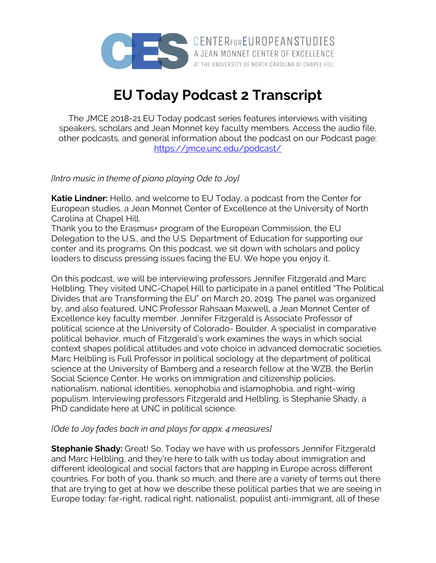

**EU Today Podcast 2 Transcript**

The JMCE 2018-21 EU Today podcast series features interviews with visiting speakers, scholars and Jean Monnet key faculty members. Access the audio file, other podcasts, and general information about the podcast on our Podcast page: https://jmce.unc.edu/podcast/

*[Intro music in theme of piano playing Ode to Joy]*

**Katie Lindner:** Hello, and welcome to EU Today, a podcast from the Center for European studies, a Jean Monnet Center of Excellence at the University of North Carolina at Chapel Hill.

Thank you to the Erasmus+ program of the European Commission, the EU Delegation to the U.S., and the U.S. Department of Education for supporting our center and its programs. On this podcast, we sit down with scholars and policy leaders to discuss pressing issues facing the EU. We hope you enjoy it.

On this podcast, we will be interviewing professors Jennifer Fitzgerald and Marc Helbling. They visited UNC-Chapel Hill to participate in a panel entitled "The Political Divides that are Transforming the EU" on March 20, 2019. The panel was organized by, and also featured, UNC Professor Rahsaan Maxwell, a Jean Monnet Center of Excellence key faculty member. Jennifer Fitzgerald is Associate Professor of political science at the University of Colorado- Boulder. A specialist in comparative political behavior, much of Fitzgerald's work examines the ways in which social context shapes political attitudes and vote choice in advanced democratic societies. Marc Helbling is Full Professor in political sociology at the department of political science at the University of Bamberg and a research fellow at the WZB, the Berlin Social Science Center. He works on immigration and citizenship policies, nationalism, national identities, xenophobia and islamophobia, and right-wing populism. Interviewing professors Fitzgerald and Helbling, is Stephanie Shady, a PhD candidate here at UNC in political science.

## *[Ode to Joy fades back in and plays for appx. 4 measures]*

**Stephanie Shady:** Great! So, Today we have with us professors Jennifer Fitzgerald and Marc Helbling, and they're here to talk with us today about immigration and different ideological and social factors that are happing in Europe across different countries. For both of you, thank so much, and there are a variety of terms out there that are trying to get at how we describe these political parties that we are seeing in Europe today: far-right, radical right, nationalist, populist anti-immigrant, all of these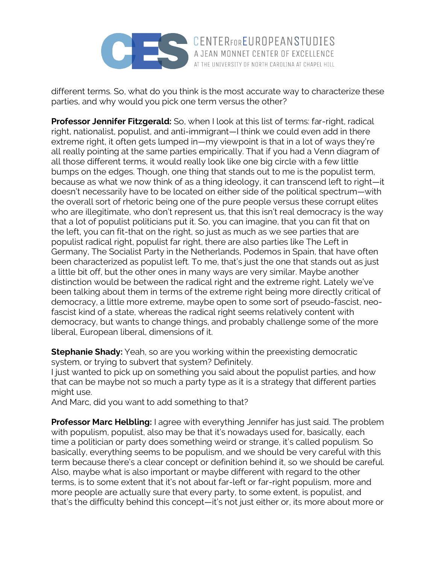

different terms. So, what do you think is the most accurate way to characterize these parties, and why would you pick one term versus the other?

**Professor Jennifer Fitzgerald:** So, when I look at this list of terms: far-right, radical right, nationalist, populist, and anti-immigrant—I think we could even add in there extreme right, it often gets lumped in—my viewpoint is that in a lot of ways they're all really pointing at the same parties empirically. That if you had a Venn diagram of all those different terms, it would really look like one big circle with a few little bumps on the edges. Though, one thing that stands out to me is the populist term, because as what we now think of as a thing ideology, it can transcend left to right—it doesn't necessarily have to be located on either side of the political spectrum—with the overall sort of rhetoric being one of the pure people versus these corrupt elites who are illegitimate, who don't represent us, that this isn't real democracy is the way that a lot of populist politicians put it. So, you can imagine, that you can fit that on the left, you can fit-that on the right, so just as much as we see parties that are populist radical right, populist far right, there are also parties like The Left in Germany, The Socialist Party in the Netherlands, Podemos in Spain, that have often been characterized as populist left. To me, that's just the one that stands out as just a little bit off, but the other ones in many ways are very similar. Maybe another distinction would be between the radical right and the extreme right. Lately we've been talking about them in terms of the extreme right being more directly critical of democracy, a little more extreme, maybe open to some sort of pseudo-fascist, neofascist kind of a state, whereas the radical right seems relatively content with democracy, but wants to change things, and probably challenge some of the more liberal, European liberal, dimensions of it.

**Stephanie Shady:** Yeah, so are you working within the preexisting democratic system, or trying to subvert that system? Definitely.

I just wanted to pick up on something you said about the populist parties, and how that can be maybe not so much a party type as it is a strategy that different parties might use.

And Marc, did you want to add something to that?

**Professor Marc Helbling:** I agree with everything Jennifer has just said. The problem with populism, populist, also may be that it's nowadays used for, basically, each time a politician or party does something weird or strange, it's called populism. So basically, everything seems to be populism, and we should be very careful with this term because there's a clear concept or definition behind it, so we should be careful. Also, maybe what is also important or maybe different with regard to the other terms, is to some extent that it's not about far-left or far-right populism, more and more people are actually sure that every party, to some extent, is populist, and that's the difficulty behind this concept—it's not just either or, its more about more or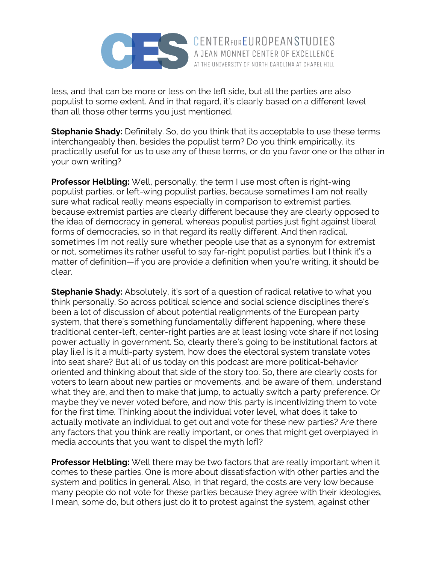

less, and that can be more or less on the left side, but all the parties are also populist to some extent. And in that regard, it's clearly based on a different level than all those other terms you just mentioned.

AT THE UNIVERSITY OF NORTH CAROLINA AT CHAPEL HILL

**Stephanie Shady:** Definitely. So, do you think that its acceptable to use these terms interchangeably then, besides the populist term? Do you think empirically, its practically useful for us to use any of these terms, or do you favor one or the other in your own writing?

**Professor Helbling:** Well, personally, the term I use most often is right-wing populist parties, or left-wing populist parties, because sometimes I am not really sure what radical really means especially in comparison to extremist parties, because extremist parties are clearly different because they are clearly opposed to the idea of democracy in general, whereas populist parties just fight against liberal forms of democracies, so in that regard its really different. And then radical, sometimes I'm not really sure whether people use that as a synonym for extremist or not, sometimes its rather useful to say far-right populist parties, but I think it's a matter of definition—if you are provide a definition when you're writing, it should be clear.

**Stephanie Shady:** Absolutely, it's sort of a question of radical relative to what you think personally. So across political science and social science disciplines there's been a lot of discussion of about potential realignments of the European party system, that there's something fundamentally different happening, where these traditional center-left, center-right parties are at least losing vote share if not losing power actually in government. So, clearly there's going to be institutional factors at play [i.e.] is it a multi-party system, how does the electoral system translate votes into seat share? But all of us today on this podcast are more political-behavior oriented and thinking about that side of the story too. So, there are clearly costs for voters to learn about new parties or movements, and be aware of them, understand what they are, and then to make that jump, to actually switch a party preference. Or maybe they've never voted before, and now this party is incentivizing them to vote for the first time. Thinking about the individual voter level, what does it take to actually motivate an individual to get out and vote for these new parties? Are there any factors that you think are really important, or ones that might get overplayed in media accounts that you want to dispel the myth [of]?

**Professor Helbling:** Well there may be two factors that are really important when it comes to these parties. One is more about dissatisfaction with other parties and the system and politics in general. Also, in that regard, the costs are very low because many people do not vote for these parties because they agree with their ideologies, I mean, some do, but others just do it to protest against the system, against other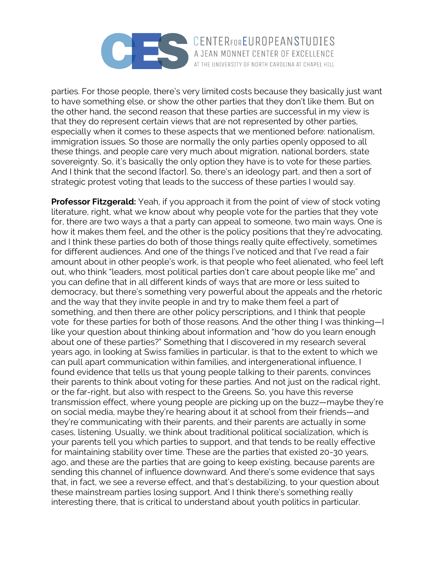

parties. For those people, there's very limited costs because they basically just want to have something else, or show the other parties that they don't like them. But on the other hand, the second reason that these parties are successful in my view is that they do represent certain views that are not represented by other parties, especially when it comes to these aspects that we mentioned before: nationalism, immigration issues. So those are normally the only parties openly opposed to all these things, and people care very much about migration, national borders, state sovereignty. So, it's basically the only option they have is to vote for these parties. And I think that the second [factor]. So, there's an ideology part, and then a sort of strategic protest voting that leads to the success of these parties I would say.

AT THE UNIVERSITY OF NORTH CAROLINA AT CHAPEL HILL

**Professor Fitzgerald:** Yeah, if you approach it from the point of view of stock voting literature, right, what we know about why people vote for the parties that they vote for, there are two ways a that a party can appeal to someone, two main ways. One is how it makes them feel, and the other is the policy positions that they're advocating, and I think these parties do both of those things really quite effectively, sometimes for different audiences. And one of the things I've noticed and that I've read a fair amount about in other people's work, is that people who feel alienated, who feel left out, who think "leaders, most political parties don't care about people like me" and you can define that in all different kinds of ways that are more or less suited to democracy, but there's something very powerful about the appeals and the rhetoric and the way that they invite people in and try to make them feel a part of something, and then there are other policy perscriptions, and I think that people vote for these parties for both of those reasons. And the other thing I was thinking—I like your question about thinking about information and "how do you learn enough about one of these parties?" Something that I discovered in my research several years ago, in looking at Swiss families in particular, is that to the extent to which we can pull apart communication within families, and intergenerational influence, I found evidence that tells us that young people talking to their parents, convinces their parents to think about voting for these parties. And not just on the radical right, or the far-right, but also with respect to the Greens. So, you have this reverse transmission effect, where young people are picking up on the buzz—maybe they're on social media, maybe they're hearing about it at school from their friends—and they're communicating with their parents, and their parents are actually in some cases, listening. Usually, we think about traditional political socialization, which is your parents tell you which parties to support, and that tends to be really effective for maintaining stability over time. These are the parties that existed 20-30 years, ago, and these are the parties that are going to keep existing, because parents are sending this channel of influence downward. And there's some evidence that says that, in fact, we see a reverse effect, and that's destabilizing, to your question about these mainstream parties losing support. And I think there's something really interesting there, that is critical to understand about youth politics in particular.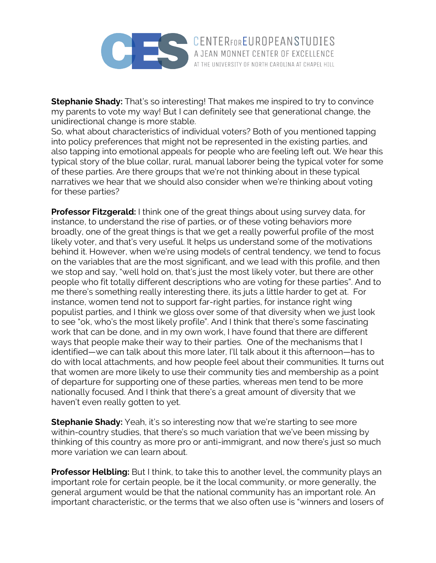

**Stephanie Shady:** That's so interesting! That makes me inspired to try to convince my parents to vote my way! But I can definitely see that generational change, the unidirectional change is more stable.

AT THE UNIVERSITY OF NORTH CAROLINA AT CHAPEL HILL

So, what about characteristics of individual voters? Both of you mentioned tapping into policy preferences that might not be represented in the existing parties, and also tapping into emotional appeals for people who are feeling left out. We hear this typical story of the blue collar, rural, manual laborer being the typical voter for some of these parties. Are there groups that we're not thinking about in these typical narratives we hear that we should also consider when we're thinking about voting for these parties?

**Professor Fitzgerald:** I think one of the great things about using survey data, for instance, to understand the rise of parties, or of these voting behaviors more broadly, one of the great things is that we get a really powerful profile of the most likely voter, and that's very useful. It helps us understand some of the motivations behind it. However, when we're using models of central tendency, we tend to focus on the variables that are the most significant, and we lead with this profile, and then we stop and say, "well hold on, that's just the most likely voter, but there are other people who fit totally different descriptions who are voting for these parties". And to me there's something really interesting there, its juts a little harder to get at. For instance, women tend not to support far-right parties, for instance right wing populist parties, and I think we gloss over some of that diversity when we just look to see "ok, who's the most likely profile". And I think that there's some fascinating work that can be done, and in my own work, I have found that there are different ways that people make their way to their parties. One of the mechanisms that I identified—we can talk about this more later, I'll talk about it this afternoon—has to do with local attachments, and how people feel about their communities. It turns out that women are more likely to use their community ties and membership as a point of departure for supporting one of these parties, whereas men tend to be more nationally focused. And I think that there's a great amount of diversity that we haven't even really gotten to yet.

**Stephanie Shady:** Yeah, it's so interesting now that we're starting to see more within-country studies, that there's so much variation that we've been missing by thinking of this country as more pro or anti-immigrant, and now there's just so much more variation we can learn about.

**Professor Helbling:** But I think, to take this to another level, the community plays an important role for certain people, be it the local community, or more generally, the general argument would be that the national community has an important role. An important characteristic, or the terms that we also often use is "winners and losers of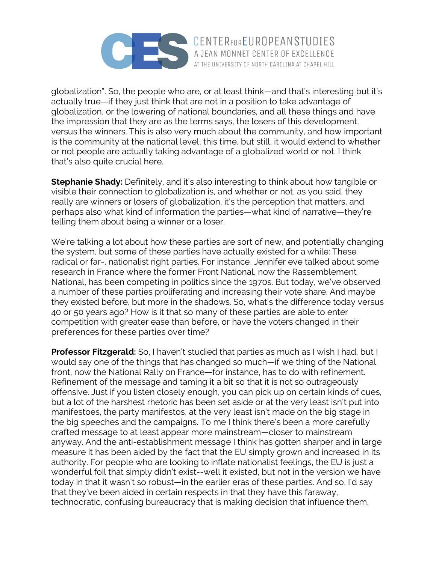

globalization". So, the people who are, or at least think—and that's interesting but it's actually true—if they just think that are not in a position to take advantage of globalization, or the lowering of national boundaries, and all these things and have the impression that they are as the terms says, the losers of this development, versus the winners. This is also very much about the community, and how important is the community at the national level, this time, but still, it would extend to whether or not people are actually taking advantage of a globalized world or not. I think that's also quite crucial here.

**Stephanie Shady:** Definitely, and it's also interesting to think about how tangible or visible their connection to globalization is, and whether or not, as you said, they really are winners or losers of globalization, it's the perception that matters, and perhaps also what kind of information the parties—what kind of narrative—they're telling them about being a winner or a loser.

We're talking a lot about how these parties are sort of new, and potentially changing the system, but some of these parties have actually existed for a while: These radical or far-, nationalist right parties. For instance, Jennifer eve talked about some research in France where the former Front National, now the Rassemblement National, has been competing in politics since the 1970s. But today, we've observed a number of these parties proliferating and increasing their vote share. And maybe they existed before, but more in the shadows. So, what's the difference today versus 40 or 50 years ago? How is it that so many of these parties are able to enter competition with greater ease than before, or have the voters changed in their preferences for these parties over time?

**Professor Fitzgerald:** So, I haven't studied that parties as much as I wish I had, but I would say one of the things that has changed so much—if we thing of the National front, now the National Rally on France—for instance, has to do with refinement. Refinement of the message and taming it a bit so that it is not so outrageously offensive. Just if you listen closely enough, you can pick up on certain kinds of cues, but a lot of the harshest rhetoric has been set aside or at the very least isn't put into manifestoes, the party manifestos, at the very least isn't made on the big stage in the big speeches and the campaigns. To me I think there's been a more carefully crafted message to at least appear more mainstream—closer to mainstream anyway. And the anti-establishment message I think has gotten sharper and in large measure it has been aided by the fact that the EU simply grown and increased in its authority. For people who are looking to inflate nationalist feelings, the EU is just a wonderful foil that simply didn't exist--well it existed, but not in the version we have today in that it wasn't so robust—in the earlier eras of these parties. And so, I'd say that they've been aided in certain respects in that they have this faraway, technocratic, confusing bureaucracy that is making decision that influence them,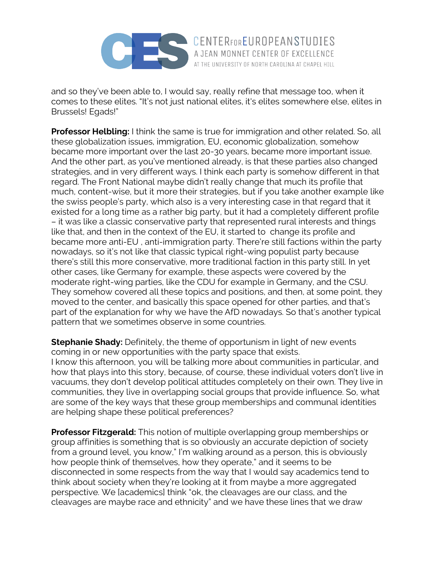

and so they've been able to, I would say, really refine that message too, when it comes to these elites. "It's not just national elites, it's elites somewhere else, elites in Brussels! Egads!"

**Professor Helbling:** I think the same is true for immigration and other related. So, all these globalization issues, immigration, EU, economic globalization, somehow became more important over the last 20-30 years, became more important issue. And the other part, as you've mentioned already, is that these parties also changed strategies, and in very different ways. I think each party is somehow different in that regard. The Front National maybe didn't really change that much its profile that much, content-wise, but it more their strategies, but if you take another example like the swiss people's party, which also is a very interesting case in that regard that it existed for a long time as a rather big party, but it had a completely different profile – it was like a classic conservative party that represented rural interests and things like that, and then in the context of the EU, it started to change its profile and became more anti-EU , anti-immigration party. There're still factions within the party nowadays, so it's not like that classic typical right-wing populist party because there's still this more conservative, more traditional faction in this party still. In yet other cases, like Germany for example, these aspects were covered by the moderate right-wing parties, like the CDU for example in Germany, and the CSU. They somehow covered all these topics and positions, and then, at some point, they moved to the center, and basically this space opened for other parties, and that's part of the explanation for why we have the AfD nowadays. So that's another typical pattern that we sometimes observe in some countries.

**Stephanie Shady:** Definitely, the theme of opportunism in light of new events coming in or new opportunities with the party space that exists. I know this afternoon, you will be talking more about communities in particular, and how that plays into this story, because, of course, these individual voters don't live in vacuums, they don't develop political attitudes completely on their own. They live in communities, they live in overlapping social groups that provide influence. So, what are some of the key ways that these group memberships and communal identities are helping shape these political preferences?

**Professor Fitzgerald:** This notion of multiple overlapping group memberships or group affinities is something that is so obviously an accurate depiction of society from a ground level, you know," I'm walking around as a person, this is obviously how people think of themselves, how they operate," and it seems to be disconnected in some respects from the way that I would say academics tend to think about society when they're looking at it from maybe a more aggregated perspective. We [academics] think "ok, the cleavages are our class, and the cleavages are maybe race and ethnicity" and we have these lines that we draw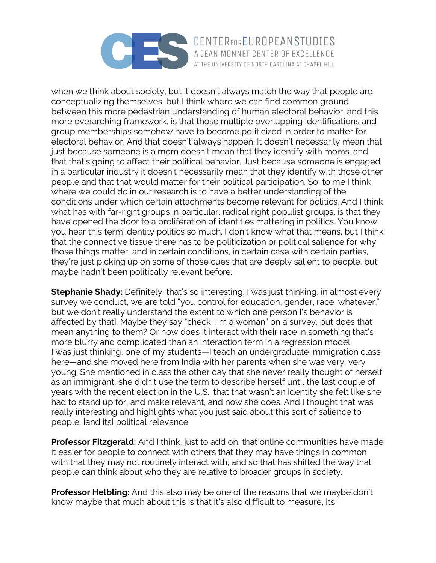

when we think about society, but it doesn't always match the way that people are conceptualizing themselves, but I think where we can find common ground between this more pedestrian understanding of human electoral behavior, and this more overarching framework, is that those multiple overlapping identifications and group memberships somehow have to become politicized in order to matter for electoral behavior. And that doesn't always happen. It doesn't necessarily mean that just because someone is a mom doesn't mean that they identify with moms, and that that's going to affect their political behavior. Just because someone is engaged in a particular industry it doesn't necessarily mean that they identify with those other people and that that would matter for their political participation. So, to me I think where we could do in our research is to have a better understanding of the conditions under which certain attachments become relevant for politics. And I think what has with far-right groups in particular, radical right populist groups, is that they have opened the door to a proliferation of identities mattering in politics. You know you hear this term identity politics so much. I don't know what that means, but I think that the connective tissue there has to be politicization or political salience for why those things matter, and in certain conditions, in certain case with certain parties, they're just picking up on some of those cues that are deeply salient to people, but maybe hadn't been politically relevant before.

**Stephanie Shady:** Definitely, that's so interesting, I was just thinking, in almost every survey we conduct, we are told "you control for education, gender, race, whatever," but we don't really understand the extent to which one person ['s behavior is affected by that]. Maybe they say "check, I'm a woman" on a survey, but does that mean anything to them? Or how does it interact with their race in something that's more blurry and complicated than an interaction term in a regression model. I was just thinking, one of my students—I teach an undergraduate immigration class here—and she moved here from India with her parents when she was very, very young. She mentioned in class the other day that she never really thought of herself as an immigrant, she didn't use the term to describe herself until the last couple of years with the recent election in the U.S., that that wasn't an identity she felt like she had to stand up for, and make relevant, and now she does. And I thought that was really interesting and highlights what you just said about this sort of salience to people, [and its] political relevance.

**Professor Fitzgerald:** And I think, just to add on, that online communities have made it easier for people to connect with others that they may have things in common with that they may not routinely interact with, and so that has shifted the way that people can think about who they are relative to broader groups in society.

**Professor Helbling:** And this also may be one of the reasons that we maybe don't know maybe that much about this is that it's also difficult to measure, its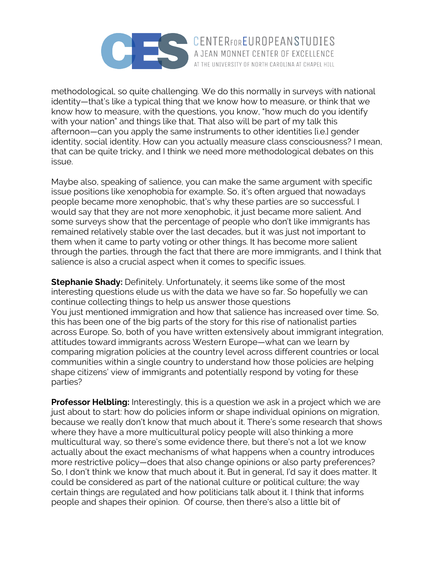

methodological, so quite challenging. We do this normally in surveys with national identity—that's like a typical thing that we know how to measure, or think that we know how to measure, with the questions, you know, "how much do you identify with your nation" and things like that. That also will be part of my talk this afternoon—can you apply the same instruments to other identities [i.e.] gender identity, social identity. How can you actually measure class consciousness? I mean, that can be quite tricky, and I think we need more methodological debates on this issue.

Maybe also, speaking of salience, you can make the same argument with specific issue positions like xenophobia for example. So, it's often argued that nowadays people became more xenophobic, that's why these parties are so successful. I would say that they are not more xenophobic, it just became more salient. And some surveys show that the percentage of people who don't like immigrants has remained relatively stable over the last decades, but it was just not important to them when it came to party voting or other things. It has become more salient through the parties, through the fact that there are more immigrants, and I think that salience is also a crucial aspect when it comes to specific issues.

**Stephanie Shady:** Definitely. Unfortunately, it seems like some of the most interesting questions elude us with the data we have so far. So hopefully we can continue collecting things to help us answer those questions You just mentioned immigration and how that salience has increased over time. So, this has been one of the big parts of the story for this rise of nationalist parties across Europe. So, both of you have written extensively about immigrant integration, attitudes toward immigrants across Western Europe—what can we learn by comparing migration policies at the country level across different countries or local communities within a single country to understand how those policies are helping shape citizens' view of immigrants and potentially respond by voting for these parties?

**Professor Helbling:** Interestingly, this is a question we ask in a project which we are just about to start: how do policies inform or shape individual opinions on migration, because we really don't know that much about it. There's some research that shows where they have a more multicultural policy people will also thinking a more multicultural way, so there's some evidence there, but there's not a lot we know actually about the exact mechanisms of what happens when a country introduces more restrictive policy—does that also change opinions or also party preferences? So, I don't think we know that much about it. But in general, I'd say it does matter. It could be considered as part of the national culture or political culture; the way certain things are regulated and how politicians talk about it. I think that informs people and shapes their opinion. Of course, then there's also a little bit of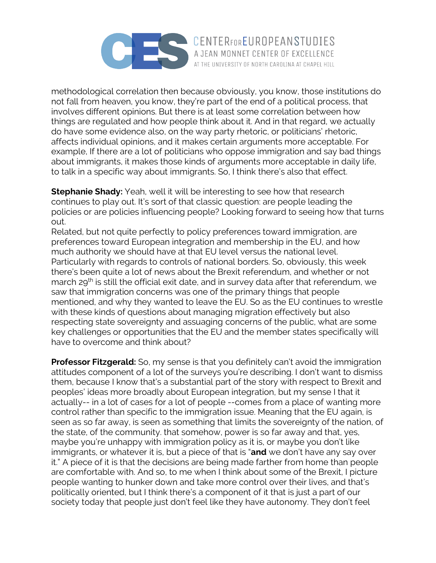

methodological correlation then because obviously, you know, those institutions do not fall from heaven, you know, they're part of the end of a political process, that involves different opinions. But there is at least some correlation between how things are regulated and how people think about it. And in that regard, we actually do have some evidence also, on the way party rhetoric, or politicians' rhetoric, affects individual opinions, and it makes certain arguments more acceptable. For example, If there are a lot of politicians who oppose immigration and say bad things about immigrants, it makes those kinds of arguments more acceptable in daily life, to talk in a specific way about immigrants. So, I think there's also that effect.

AT THE UNIVERSITY OF NORTH CAROLINA AT CHAPEL HILL

**Stephanie Shady:** Yeah, well it will be interesting to see how that research continues to play out. It's sort of that classic question: are people leading the policies or are policies influencing people? Looking forward to seeing how that turns out.

Related, but not quite perfectly to policy preferences toward immigration, are preferences toward European integration and membership in the EU, and how much authority we should have at that EU level versus the national level. Particularly with regards to controls of national borders. So, obviously, this week there's been quite a lot of news about the Brexit referendum, and whether or not march 29<sup>th</sup> is still the official exit date, and in survey data after that referendum, we saw that immigration concerns was one of the primary things that people mentioned, and why they wanted to leave the EU. So as the EU continues to wrestle with these kinds of questions about managing migration effectively but also respecting state sovereignty and assuaging concerns of the public, what are some key challenges or opportunities that the EU and the member states specifically will have to overcome and think about?

**Professor Fitzgerald:** So, my sense is that you definitely can't avoid the immigration attitudes component of a lot of the surveys you're describing. I don't want to dismiss them, because I know that's a substantial part of the story with respect to Brexit and peoples' ideas more broadly about European integration, but my sense I that it actually-- in a lot of cases for a lot of people --comes from a place of wanting more control rather than specific to the immigration issue. Meaning that the EU again, is seen as so far away, is seen as something that limits the sovereignty of the nation, of the state, of the community. that somehow, power is so far away and that, yes, maybe you're unhappy with immigration policy as it is, or maybe you don't like immigrants, or whatever it is, but a piece of that is "**and** we don't have any say over it." A piece of it is that the decisions are being made farther from home than people are comfortable with. And so, to me when I think about some of the Brexit, I picture people wanting to hunker down and take more control over their lives, and that's politically oriented, but I think there's a component of it that is just a part of our society today that people just don't feel like they have autonomy. They don't feel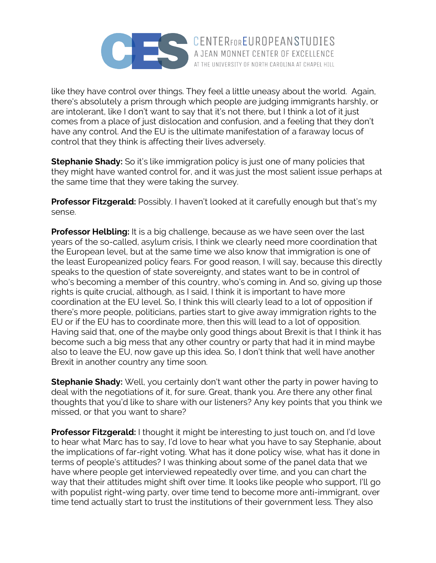

like they have control over things. They feel a little uneasy about the world. Again, there's absolutely a prism through which people are judging immigrants harshly, or are intolerant, like I don't want to say that it's not there, but I think a lot of it just comes from a place of just dislocation and confusion, and a feeling that they don't have any control. And the EU is the ultimate manifestation of a faraway locus of control that they think is affecting their lives adversely.

AT THE UNIVERSITY OF NORTH CAROLINA AT CHAPEL HILL

**Stephanie Shady:** So it's like immigration policy is just one of many policies that they might have wanted control for, and it was just the most salient issue perhaps at the same time that they were taking the survey.

**Professor Fitzgerald:** Possibly. I haven't looked at it carefully enough but that's my sense.

**Professor Helbling:** It is a big challenge, because as we have seen over the last years of the so-called, asylum crisis, I think we clearly need more coordination that the European level, but at the same time we also know that immigration is one of the least Europeanized policy fears. For good reason, I will say, because this directly speaks to the question of state sovereignty, and states want to be in control of who's becoming a member of this country, who's coming in. And so, giving up those rights is quite crucial, although, as I said, I think it is important to have more coordination at the EU level. So, I think this will clearly lead to a lot of opposition if there's more people, politicians, parties start to give away immigration rights to the EU or if the EU has to coordinate more, then this will lead to a lot of opposition. Having said that, one of the maybe only good things about Brexit is that I think it has become such a big mess that any other country or party that had it in mind maybe also to leave the EU, now gave up this idea. So, I don't think that well have another Brexit in another country any time soon.

**Stephanie Shady:** Well, you certainly don't want other the party in power having to deal with the negotiations of it, for sure. Great, thank you. Are there any other final thoughts that you'd like to share with our listeners? Any key points that you think we missed, or that you want to share?

**Professor Fitzgerald:** I thought it might be interesting to just touch on, and I'd love to hear what Marc has to say, I'd love to hear what you have to say Stephanie, about the implications of far-right voting. What has it done policy wise, what has it done in terms of people's attitudes? I was thinking about some of the panel data that we have where people get interviewed repeatedly over time, and you can chart the way that their attitudes might shift over time. It looks like people who support, I'll go with populist right-wing party, over time tend to become more anti-immigrant, over time tend actually start to trust the institutions of their government less. They also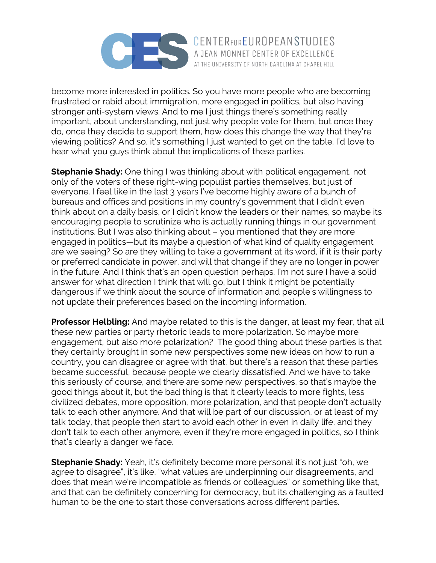

become more interested in politics. So you have more people who are becoming frustrated or rabid about immigration, more engaged in politics, but also having stronger anti-system views. And to me I just things there's something really important, about understanding, not just why people vote for them, but once they do, once they decide to support them, how does this change the way that they're viewing politics? And so, it's something I just wanted to get on the table. I'd love to hear what you guys think about the implications of these parties.

**Stephanie Shady:** One thing I was thinking about with political engagement, not only of the voters of these right-wing populist parties themselves, but just of everyone. I feel like in the last 3 years I've become highly aware of a bunch of bureaus and offices and positions in my country's government that I didn't even think about on a daily basis, or I didn't know the leaders or their names, so maybe its encouraging people to scrutinize who is actually running things in our government institutions. But I was also thinking about – you mentioned that they are more engaged in politics—but its maybe a question of what kind of quality engagement are we seeing? So are they willing to take a government at its word, if it is their party or preferred candidate in power, and will that change if they are no longer in power in the future. And I think that's an open question perhaps. I'm not sure I have a solid answer for what direction I think that will go, but I think it might be potentially dangerous if we think about the source of information and people's willingness to not update their preferences based on the incoming information.

**Professor Helbling:** And maybe related to this is the danger, at least my fear, that all these new parties or party rhetoric leads to more polarization. So maybe more engagement, but also more polarization? The good thing about these parties is that they certainly brought in some new perspectives some new ideas on how to run a country, you can disagree or agree with that, but there's a reason that these parties became successful, because people we clearly dissatisfied. And we have to take this seriously of course, and there are some new perspectives, so that's maybe the good things about it, but the bad thing is that it clearly leads to more fights, less civilized debates, more opposition, more polarization, and that people don't actually talk to each other anymore. And that will be part of our discussion, or at least of my talk today, that people then start to avoid each other in even in daily life, and they don't talk to each other anymore, even if they're more engaged in politics, so I think that's clearly a danger we face.

**Stephanie Shady:** Yeah, it's definitely become more personal it's not just "oh, we agree to disagree", it's like, "what values are underpinning our disagreements, and does that mean we're incompatible as friends or colleagues" or something like that, and that can be definitely concerning for democracy, but its challenging as a faulted human to be the one to start those conversations across different parties.